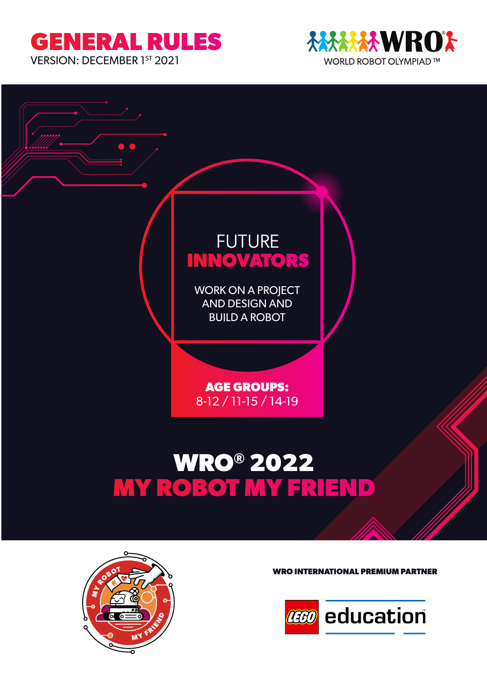# **GENERAL RULES**

VERSION: DECEMBER 1ST 2021







**WRO INTERNATIONAL PREMIUM PARTNER**

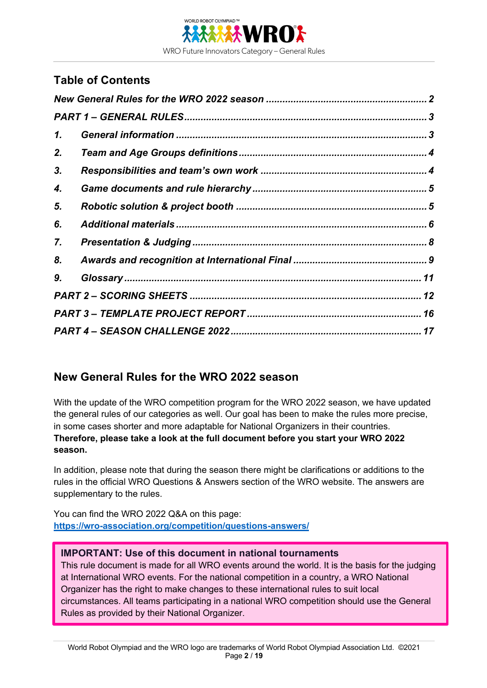

## **Table of Contents**

| 1. |  |
|----|--|
| 2. |  |
| 3. |  |
| 4. |  |
| 5. |  |
| 6. |  |
| 7. |  |
| 8. |  |
| 9. |  |
|    |  |
|    |  |
|    |  |

## **New General Rules for the WRO 2022 season**

With the update of the WRO competition program for the WRO 2022 season, we have updated the general rules of our categories as well. Our goal has been to make the rules more precise, in some cases shorter and more adaptable for National Organizers in their countries. **Therefore, please take a look at the full document before you start your WRO 2022 season.** 

In addition, please note that during the season there might be clarifications or additions to the rules in the official WRO Questions & Answers section of the WRO website. The answers are supplementary to the rules.

You can find the WRO 2022 Q&A on this page: **https://wro-association.org/competition/questions-answers/**

#### **IMPORTANT: Use of this document in national tournaments**

This rule document is made for all WRO events around the world. It is the basis for the judging at International WRO events. For the national competition in a country, a WRO National Organizer has the right to make changes to these international rules to suit local circumstances. All teams participating in a national WRO competition should use the General Rules as provided by their National Organizer.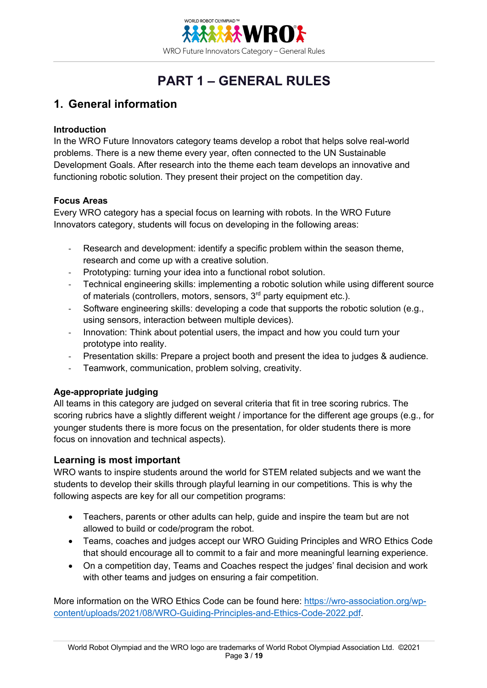

# **PART 1 – GENERAL RULES**

#### **1. General information**

#### **Introduction**

In the WRO Future Innovators category teams develop a robot that helps solve real-world problems. There is a new theme every year, often connected to the UN Sustainable Development Goals. After research into the theme each team develops an innovative and functioning robotic solution. They present their project on the competition day.

#### **Focus Areas**

Every WRO category has a special focus on learning with robots. In the WRO Future Innovators category, students will focus on developing in the following areas:

- Research and development: identify a specific problem within the season theme, research and come up with a creative solution.
- Prototyping: turning your idea into a functional robot solution.
- Technical engineering skills: implementing a robotic solution while using different source of materials (controllers, motors, sensors,  $3<sup>rd</sup>$  party equipment etc.).
- Software engineering skills: developing a code that supports the robotic solution (e.g., using sensors, interaction between multiple devices).
- Innovation: Think about potential users, the impact and how you could turn your prototype into reality.
- Presentation skills: Prepare a project booth and present the idea to judges & audience.
- Teamwork, communication, problem solving, creativity.

#### **Age-appropriate judging**

All teams in this category are judged on several criteria that fit in tree scoring rubrics. The scoring rubrics have a slightly different weight / importance for the different age groups (e.g., for younger students there is more focus on the presentation, for older students there is more focus on innovation and technical aspects).

#### **Learning is most important**

WRO wants to inspire students around the world for STEM related subjects and we want the students to develop their skills through playful learning in our competitions. This is why the following aspects are key for all our competition programs:

- Teachers, parents or other adults can help, guide and inspire the team but are not allowed to build or code/program the robot.
- Teams, coaches and judges accept our WRO Guiding Principles and WRO Ethics Code that should encourage all to commit to a fair and more meaningful learning experience.
- On a competition day, Teams and Coaches respect the judges' final decision and work with other teams and judges on ensuring a fair competition.

More information on the WRO Ethics Code can be found here: https://wro-association.org/wpcontent/uploads/2021/08/WRO-Guiding-Principles-and-Ethics-Code-2022.pdf.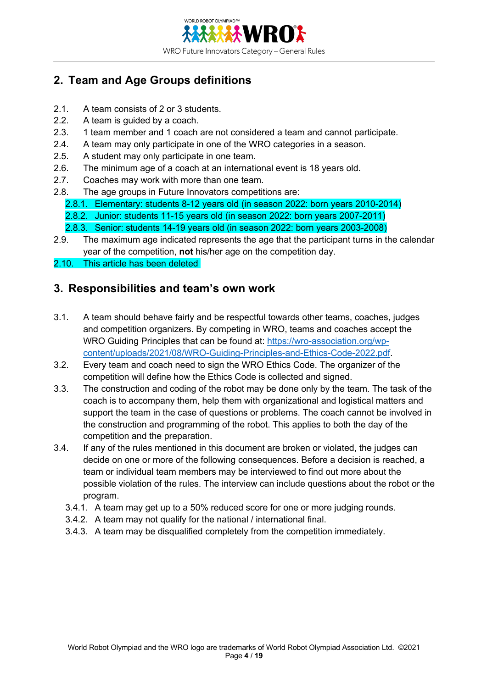

# **2. Team and Age Groups definitions**

- 2.1. A team consists of 2 or 3 students.
- 2.2. A team is guided by a coach.
- 2.3. 1 team member and 1 coach are not considered a team and cannot participate.
- 2.4. A team may only participate in one of the WRO categories in a season.
- 2.5. A student may only participate in one team.
- 2.6. The minimum age of a coach at an international event is 18 years old.
- 2.7. Coaches may work with more than one team.
- 2.8. The age groups in Future Innovators competitions are:
	- 2.8.1. Elementary: students 8-12 years old (in season 2022: born years 2010-2014)
	- 2.8.2. Junior: students 11-15 years old (in season 2022: born years 2007-2011)
	- 2.8.3. Senior: students 14-19 years old (in season 2022: born years 2003-2008)
- 2.9. The maximum age indicated represents the age that the participant turns in the calendar year of the competition, **not** his/her age on the competition day.
- 2.10. This article has been deleted

#### **3. Responsibilities and team's own work**

- 3.1. A team should behave fairly and be respectful towards other teams, coaches, judges and competition organizers. By competing in WRO, teams and coaches accept the WRO Guiding Principles that can be found at: https://wro-association.org/wpcontent/uploads/2021/08/WRO-Guiding-Principles-and-Ethics-Code-2022.pdf.
- 3.2. Every team and coach need to sign the WRO Ethics Code. The organizer of the competition will define how the Ethics Code is collected and signed.
- 3.3. The construction and coding of the robot may be done only by the team. The task of the coach is to accompany them, help them with organizational and logistical matters and support the team in the case of questions or problems. The coach cannot be involved in the construction and programming of the robot. This applies to both the day of the competition and the preparation.
- 3.4. If any of the rules mentioned in this document are broken or violated, the judges can decide on one or more of the following consequences. Before a decision is reached, a team or individual team members may be interviewed to find out more about the possible violation of the rules. The interview can include questions about the robot or the program.
	- 3.4.1. A team may get up to a 50% reduced score for one or more judging rounds.
	- 3.4.2. A team may not qualify for the national / international final.
	- 3.4.3. A team may be disqualified completely from the competition immediately.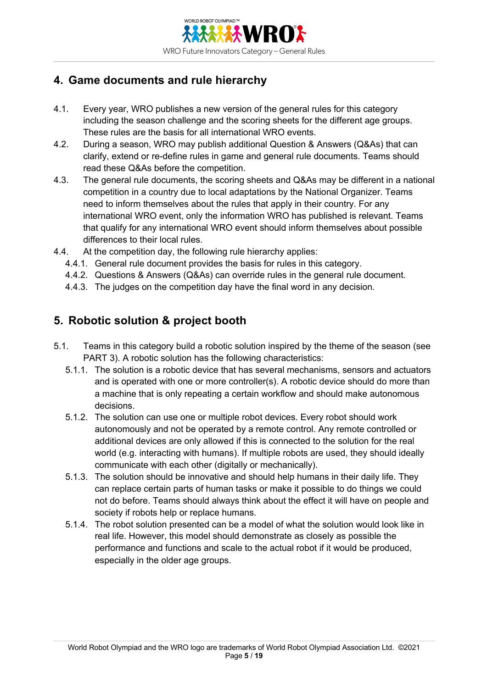

# **4. Game documents and rule hierarchy**

- 4.1. Every year, WRO publishes a new version of the general rules for this category including the season challenge and the scoring sheets for the different age groups. These rules are the basis for all international WRO events.
- 4.2. During a season, WRO may publish additional Question & Answers (Q&As) that can clarify, extend or re-define rules in game and general rule documents. Teams should read these Q&As before the competition.
- 4.3. The general rule documents, the scoring sheets and Q&As may be different in a national competition in a country due to local adaptations by the National Organizer. Teams need to inform themselves about the rules that apply in their country. For any international WRO event, only the information WRO has published is relevant. Teams that qualify for any international WRO event should inform themselves about possible differences to their local rules.
- 4.4. At the competition day, the following rule hierarchy applies:
	- 4.4.1. General rule document provides the basis for rules in this category.
	- 4.4.2. Questions & Answers (Q&As) can override rules in the general rule document.
	- 4.4.3. The judges on the competition day have the final word in any decision.

## **5. Robotic solution & project booth**

- 5.1. Teams in this category build a robotic solution inspired by the theme of the season (see PART 3). A robotic solution has the following characteristics:
	- 5.1.1. The solution is a robotic device that has several mechanisms, sensors and actuators and is operated with one or more controller(s). A robotic device should do more than a machine that is only repeating a certain workflow and should make autonomous decisions.
	- 5.1.2. The solution can use one or multiple robot devices. Every robot should work autonomously and not be operated by a remote control. Any remote controlled or additional devices are only allowed if this is connected to the solution for the real world (e.g. interacting with humans). If multiple robots are used, they should ideally communicate with each other (digitally or mechanically).
	- 5.1.3. The solution should be innovative and should help humans in their daily life. They can replace certain parts of human tasks or make it possible to do things we could not do before. Teams should always think about the effect it will have on people and society if robots help or replace humans.
	- 5.1.4. The robot solution presented can be a model of what the solution would look like in real life. However, this model should demonstrate as closely as possible the performance and functions and scale to the actual robot if it would be produced, especially in the older age groups.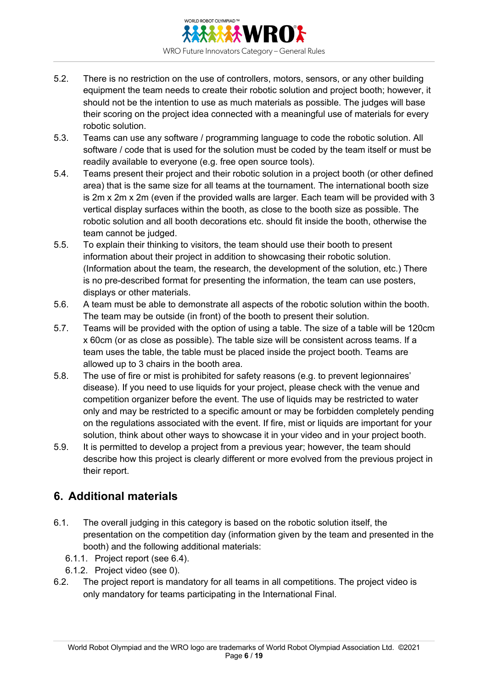

- 5.2. There is no restriction on the use of controllers, motors, sensors, or any other building equipment the team needs to create their robotic solution and project booth; however, it should not be the intention to use as much materials as possible. The judges will base their scoring on the project idea connected with a meaningful use of materials for every robotic solution.
- 5.3. Teams can use any software / programming language to code the robotic solution. All software / code that is used for the solution must be coded by the team itself or must be readily available to everyone (e.g. free open source tools).
- 5.4. Teams present their project and their robotic solution in a project booth (or other defined area) that is the same size for all teams at the tournament. The international booth size is 2m x 2m x 2m (even if the provided walls are larger. Each team will be provided with 3 vertical display surfaces within the booth, as close to the booth size as possible. The robotic solution and all booth decorations etc. should fit inside the booth, otherwise the team cannot be judged.
- 5.5. To explain their thinking to visitors, the team should use their booth to present information about their project in addition to showcasing their robotic solution. (Information about the team, the research, the development of the solution, etc.) There is no pre-described format for presenting the information, the team can use posters, displays or other materials.
- 5.6. A team must be able to demonstrate all aspects of the robotic solution within the booth. The team may be outside (in front) of the booth to present their solution.
- 5.7. Teams will be provided with the option of using a table. The size of a table will be 120cm x 60cm (or as close as possible). The table size will be consistent across teams. If a team uses the table, the table must be placed inside the project booth. Teams are allowed up to 3 chairs in the booth area.
- 5.8. The use of fire or mist is prohibited for safety reasons (e.g. to prevent legionnaires' disease). If you need to use liquids for your project, please check with the venue and competition organizer before the event. The use of liquids may be restricted to water only and may be restricted to a specific amount or may be forbidden completely pending on the regulations associated with the event. If fire, mist or liquids are important for your solution, think about other ways to showcase it in your video and in your project booth.
- 5.9. It is permitted to develop a project from a previous year; however, the team should describe how this project is clearly different or more evolved from the previous project in their report.

## **6. Additional materials**

- 6.1. The overall judging in this category is based on the robotic solution itself, the presentation on the competition day (information given by the team and presented in the booth) and the following additional materials:
	- 6.1.1. Project report (see 6.4).
	- 6.1.2. Project video (see 0).
- 6.2. The project report is mandatory for all teams in all competitions. The project video is only mandatory for teams participating in the International Final.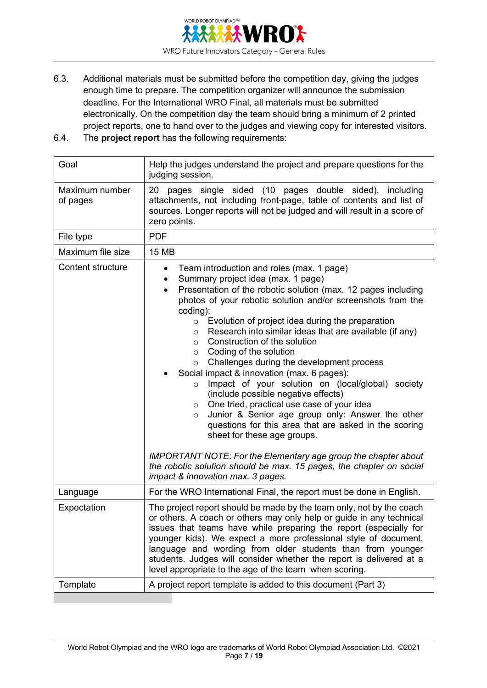

- 6.3. Additional materials must be submitted before the competition day, giving the judges enough time to prepare. The competition organizer will announce the submission deadline. For the International WRO Final, all materials must be submitted electronically. On the competition day the team should bring a minimum of 2 printed project reports, one to hand over to the judges and viewing copy for interested visitors.
- 6.4. The **project report** has the following requirements:

| Goal                       | Help the judges understand the project and prepare questions for the<br>judging session.                                                                                                                                                                                                                                                                                                                                                                                                                                                                                                                                                                                                                                                                                                                                                                                                                             |  |  |  |
|----------------------------|----------------------------------------------------------------------------------------------------------------------------------------------------------------------------------------------------------------------------------------------------------------------------------------------------------------------------------------------------------------------------------------------------------------------------------------------------------------------------------------------------------------------------------------------------------------------------------------------------------------------------------------------------------------------------------------------------------------------------------------------------------------------------------------------------------------------------------------------------------------------------------------------------------------------|--|--|--|
| Maximum number<br>of pages | pages single sided (10 pages double sided), including<br>20<br>attachments, not including front-page, table of contents and list of<br>sources. Longer reports will not be judged and will result in a score of<br>zero points.                                                                                                                                                                                                                                                                                                                                                                                                                                                                                                                                                                                                                                                                                      |  |  |  |
| File type                  | <b>PDF</b>                                                                                                                                                                                                                                                                                                                                                                                                                                                                                                                                                                                                                                                                                                                                                                                                                                                                                                           |  |  |  |
| Maximum file size          | <b>15 MB</b>                                                                                                                                                                                                                                                                                                                                                                                                                                                                                                                                                                                                                                                                                                                                                                                                                                                                                                         |  |  |  |
| Content structure          | Team introduction and roles (max. 1 page)<br>$\bullet$<br>Summary project idea (max. 1 page)<br>$\bullet$<br>Presentation of the robotic solution (max. 12 pages including<br>$\bullet$<br>photos of your robotic solution and/or screenshots from the<br>coding):<br>Evolution of project idea during the preparation<br>$\circ$<br>Research into similar ideas that are available (if any)<br>$\circ$<br>Construction of the solution<br>$\circ$<br>Coding of the solution<br>$\circ$<br>Challenges during the development process<br>$\circ$<br>Social impact & innovation (max. 6 pages):<br>Impact of your solution on (local/global) society<br>$\circ$<br>(include possible negative effects)<br>One tried, practical use case of your idea<br>$\circ$<br>Junior & Senior age group only: Answer the other<br>$\circ$<br>questions for this area that are asked in the scoring<br>sheet for these age groups. |  |  |  |
|                            | <b>IMPORTANT NOTE: For the Elementary age group the chapter about</b><br>the robotic solution should be max. 15 pages, the chapter on social<br>impact & innovation max. 3 pages.                                                                                                                                                                                                                                                                                                                                                                                                                                                                                                                                                                                                                                                                                                                                    |  |  |  |
| Language                   | For the WRO International Final, the report must be done in English.                                                                                                                                                                                                                                                                                                                                                                                                                                                                                                                                                                                                                                                                                                                                                                                                                                                 |  |  |  |
| Expectation                | The project report should be made by the team only, not by the coach<br>or others. A coach or others may only help or guide in any technical<br>issues that teams have while preparing the report (especially for<br>younger kids). We expect a more professional style of document,<br>language and wording from older students than from younger<br>students. Judges will consider whether the report is delivered at a<br>level appropriate to the age of the team when scoring.                                                                                                                                                                                                                                                                                                                                                                                                                                  |  |  |  |
| Template                   | A project report template is added to this document (Part 3)                                                                                                                                                                                                                                                                                                                                                                                                                                                                                                                                                                                                                                                                                                                                                                                                                                                         |  |  |  |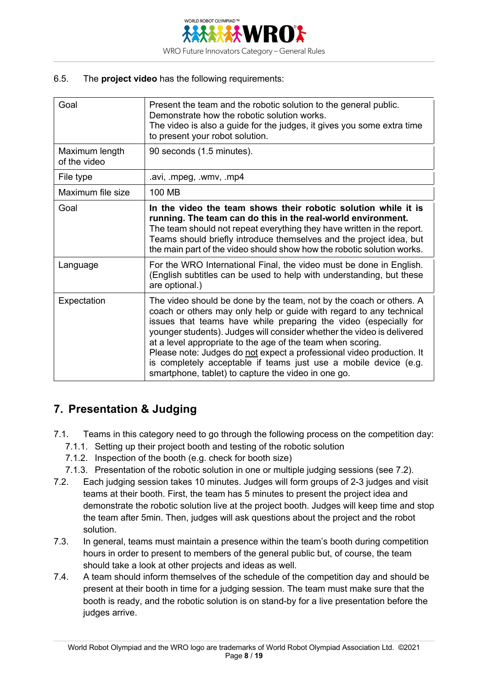

#### 6.5. The **project video** has the following requirements:

| Goal                           | Present the team and the robotic solution to the general public.<br>Demonstrate how the robotic solution works.<br>The video is also a guide for the judges, it gives you some extra time<br>to present your robot solution.                                                                                                                                                                                                                                                                                                                                |
|--------------------------------|-------------------------------------------------------------------------------------------------------------------------------------------------------------------------------------------------------------------------------------------------------------------------------------------------------------------------------------------------------------------------------------------------------------------------------------------------------------------------------------------------------------------------------------------------------------|
| Maximum length<br>of the video | 90 seconds (1.5 minutes).                                                                                                                                                                                                                                                                                                                                                                                                                                                                                                                                   |
| File type                      | .avi, .mpeg, .wmv, .mp4                                                                                                                                                                                                                                                                                                                                                                                                                                                                                                                                     |
| Maximum file size              | 100 MB                                                                                                                                                                                                                                                                                                                                                                                                                                                                                                                                                      |
| Goal                           | In the video the team shows their robotic solution while it is<br>running. The team can do this in the real-world environment.<br>The team should not repeat everything they have written in the report.<br>Teams should briefly introduce themselves and the project idea, but<br>the main part of the video should show how the robotic solution works.                                                                                                                                                                                                   |
| Language                       | For the WRO International Final, the video must be done in English.<br>(English subtitles can be used to help with understanding, but these<br>are optional.)                                                                                                                                                                                                                                                                                                                                                                                               |
| Expectation                    | The video should be done by the team, not by the coach or others. A<br>coach or others may only help or guide with regard to any technical<br>issues that teams have while preparing the video (especially for<br>younger students). Judges will consider whether the video is delivered<br>at a level appropriate to the age of the team when scoring.<br>Please note: Judges do not expect a professional video production. It<br>is completely acceptable if teams just use a mobile device (e.g.<br>smartphone, tablet) to capture the video in one go. |

#### **7. Presentation & Judging**

- 7.1. Teams in this category need to go through the following process on the competition day:
	- 7.1.1. Setting up their project booth and testing of the robotic solution
	- 7.1.2. Inspection of the booth (e.g. check for booth size)
	- 7.1.3. Presentation of the robotic solution in one or multiple judging sessions (see 7.2).
- 7.2. Each judging session takes 10 minutes. Judges will form groups of 2-3 judges and visit teams at their booth. First, the team has 5 minutes to present the project idea and demonstrate the robotic solution live at the project booth. Judges will keep time and stop the team after 5min. Then, judges will ask questions about the project and the robot solution.
- 7.3. In general, teams must maintain a presence within the team's booth during competition hours in order to present to members of the general public but, of course, the team should take a look at other projects and ideas as well.
- 7.4. A team should inform themselves of the schedule of the competition day and should be present at their booth in time for a judging session. The team must make sure that the booth is ready, and the robotic solution is on stand-by for a live presentation before the judges arrive.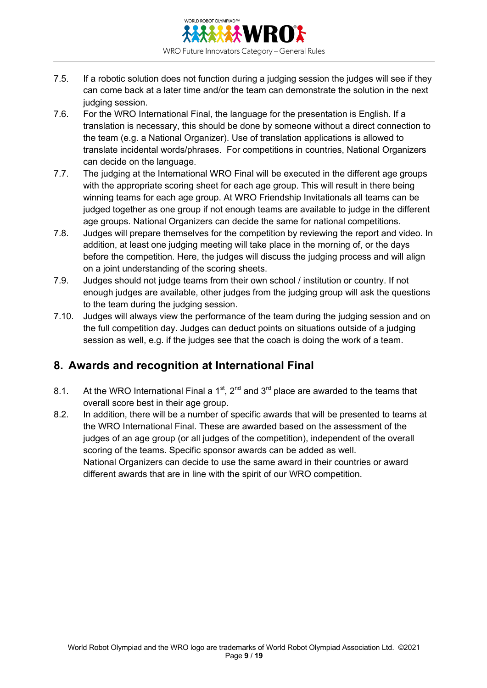

- 7.5. If a robotic solution does not function during a judging session the judges will see if they can come back at a later time and/or the team can demonstrate the solution in the next judging session.
- 7.6. For the WRO International Final, the language for the presentation is English. If a translation is necessary, this should be done by someone without a direct connection to the team (e.g. a National Organizer). Use of translation applications is allowed to translate incidental words/phrases. For competitions in countries, National Organizers can decide on the language.
- 7.7. The judging at the International WRO Final will be executed in the different age groups with the appropriate scoring sheet for each age group. This will result in there being winning teams for each age group. At WRO Friendship Invitationals all teams can be judged together as one group if not enough teams are available to judge in the different age groups. National Organizers can decide the same for national competitions.
- 7.8. Judges will prepare themselves for the competition by reviewing the report and video. In addition, at least one judging meeting will take place in the morning of, or the days before the competition. Here, the judges will discuss the judging process and will align on a joint understanding of the scoring sheets.
- 7.9. Judges should not judge teams from their own school / institution or country. If not enough judges are available, other judges from the judging group will ask the questions to the team during the judging session.
- 7.10. Judges will always view the performance of the team during the judging session and on the full competition day. Judges can deduct points on situations outside of a judging session as well, e.g. if the judges see that the coach is doing the work of a team.

## **8. Awards and recognition at International Final**

- 8.1. At the WRO International Final a 1<sup>st</sup>,  $2^{nd}$  and  $3^{rd}$  place are awarded to the teams that overall score best in their age group.
- 8.2. In addition, there will be a number of specific awards that will be presented to teams at the WRO International Final. These are awarded based on the assessment of the judges of an age group (or all judges of the competition), independent of the overall scoring of the teams. Specific sponsor awards can be added as well. National Organizers can decide to use the same award in their countries or award different awards that are in line with the spirit of our WRO competition.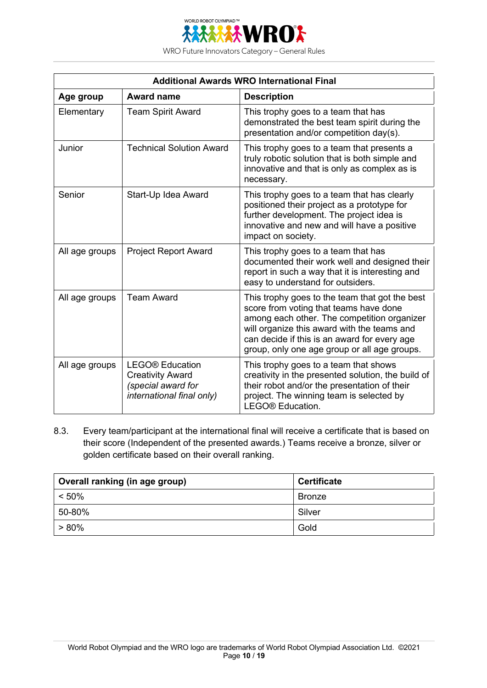

WRO Future Innovators Category – General Rules

| <b>Additional Awards WRO International Final</b> |                                                                                                      |                                                                                                                                                                                                                                                                                        |  |  |
|--------------------------------------------------|------------------------------------------------------------------------------------------------------|----------------------------------------------------------------------------------------------------------------------------------------------------------------------------------------------------------------------------------------------------------------------------------------|--|--|
| Age group                                        | <b>Award name</b>                                                                                    | <b>Description</b>                                                                                                                                                                                                                                                                     |  |  |
| Elementary                                       | <b>Team Spirit Award</b>                                                                             | This trophy goes to a team that has<br>demonstrated the best team spirit during the<br>presentation and/or competition day(s).                                                                                                                                                         |  |  |
| Junior                                           | <b>Technical Solution Award</b>                                                                      | This trophy goes to a team that presents a<br>truly robotic solution that is both simple and<br>innovative and that is only as complex as is<br>necessary.                                                                                                                             |  |  |
| Senior                                           | Start-Up Idea Award                                                                                  | This trophy goes to a team that has clearly<br>positioned their project as a prototype for<br>further development. The project idea is<br>innovative and new and will have a positive<br>impact on society.                                                                            |  |  |
| All age groups                                   | <b>Project Report Award</b>                                                                          | This trophy goes to a team that has<br>documented their work well and designed their<br>report in such a way that it is interesting and<br>easy to understand for outsiders.                                                                                                           |  |  |
| All age groups                                   | <b>Team Award</b>                                                                                    | This trophy goes to the team that got the best<br>score from voting that teams have done<br>among each other. The competition organizer<br>will organize this award with the teams and<br>can decide if this is an award for every age<br>group, only one age group or all age groups. |  |  |
| All age groups                                   | <b>LEGO®</b> Education<br><b>Creativity Award</b><br>(special award for<br>international final only) | This trophy goes to a team that shows<br>creativity in the presented solution, the build of<br>their robot and/or the presentation of their<br>project. The winning team is selected by<br>LEGO® Education.                                                                            |  |  |

8.3. Every team/participant at the international final will receive a certificate that is based on their score (Independent of the presented awards.) Teams receive a bronze, silver or golden certificate based on their overall ranking.

| Overall ranking (in age group) | <b>Certificate</b> |
|--------------------------------|--------------------|
| $< 50\%$                       | <b>Bronze</b>      |
| 50-80%                         | Silver             |
| $> 80\%$                       | Gold               |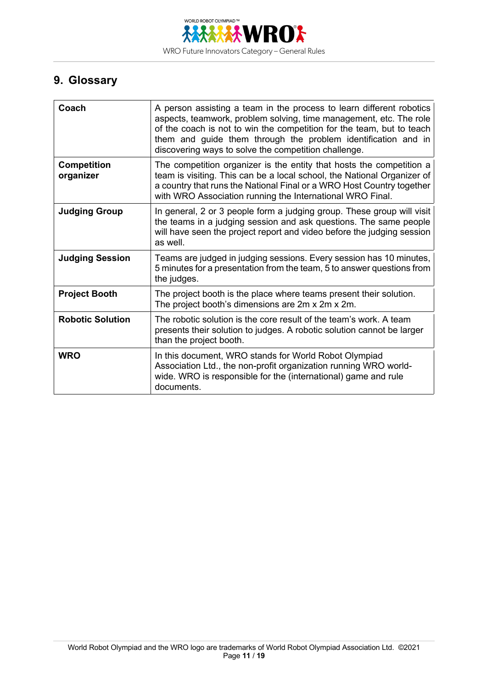

# **9. Glossary**

| Coach                           | A person assisting a team in the process to learn different robotics<br>aspects, teamwork, problem solving, time management, etc. The role<br>of the coach is not to win the competition for the team, but to teach<br>them and guide them through the problem identification and in<br>discovering ways to solve the competition challenge. |
|---------------------------------|----------------------------------------------------------------------------------------------------------------------------------------------------------------------------------------------------------------------------------------------------------------------------------------------------------------------------------------------|
| <b>Competition</b><br>organizer | The competition organizer is the entity that hosts the competition a<br>team is visiting. This can be a local school, the National Organizer of<br>a country that runs the National Final or a WRO Host Country together<br>with WRO Association running the International WRO Final.                                                        |
| <b>Judging Group</b>            | In general, 2 or 3 people form a judging group. These group will visit<br>the teams in a judging session and ask questions. The same people<br>will have seen the project report and video before the judging session<br>as well.                                                                                                            |
| <b>Judging Session</b>          | Teams are judged in judging sessions. Every session has 10 minutes,<br>5 minutes for a presentation from the team, 5 to answer questions from<br>the judges.                                                                                                                                                                                 |
| <b>Project Booth</b>            | The project booth is the place where teams present their solution.<br>The project booth's dimensions are 2m x 2m x 2m.                                                                                                                                                                                                                       |
| <b>Robotic Solution</b>         | The robotic solution is the core result of the team's work. A team<br>presents their solution to judges. A robotic solution cannot be larger<br>than the project booth.                                                                                                                                                                      |
| <b>WRO</b>                      | In this document, WRO stands for World Robot Olympiad<br>Association Ltd., the non-profit organization running WRO world-<br>wide. WRO is responsible for the (international) game and rule<br>documents.                                                                                                                                    |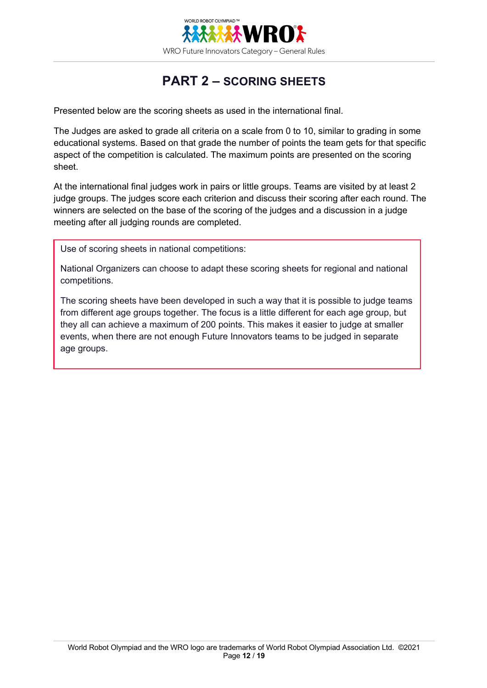

# **PART 2 – SCORING SHEETS**

Presented below are the scoring sheets as used in the international final.

The Judges are asked to grade all criteria on a scale from 0 to 10, similar to grading in some educational systems. Based on that grade the number of points the team gets for that specific aspect of the competition is calculated. The maximum points are presented on the scoring sheet.

At the international final judges work in pairs or little groups. Teams are visited by at least 2 judge groups. The judges score each criterion and discuss their scoring after each round. The winners are selected on the base of the scoring of the judges and a discussion in a judge meeting after all judging rounds are completed.

Use of scoring sheets in national competitions:

National Organizers can choose to adapt these scoring sheets for regional and national competitions.

The scoring sheets have been developed in such a way that it is possible to judge teams from different age groups together. The focus is a little different for each age group, but they all can achieve a maximum of 200 points. This makes it easier to judge at smaller events, when there are not enough Future Innovators teams to be judged in separate age groups.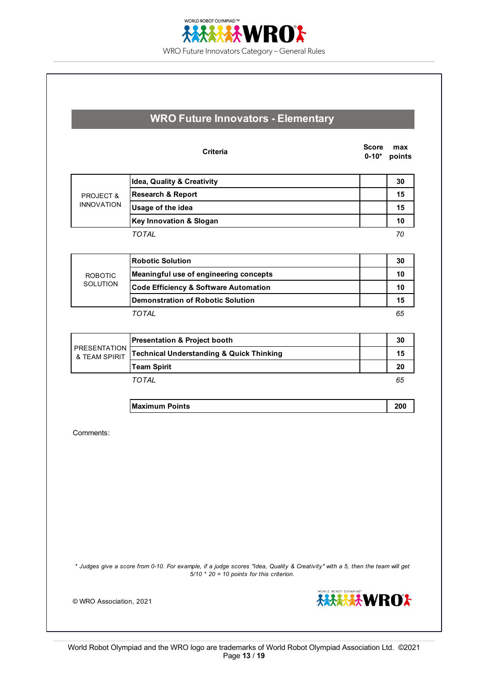

|                                      | <b>Criteria</b>                                                                                                                                                              | <b>Score</b><br>$0 - 10*$ | max<br>points |
|--------------------------------------|------------------------------------------------------------------------------------------------------------------------------------------------------------------------------|---------------------------|---------------|
|                                      | Idea, Quality & Creativity                                                                                                                                                   |                           | 30            |
| <b>PROJECT &amp;</b>                 | <b>Research &amp; Report</b>                                                                                                                                                 |                           | 15            |
| <b>INNOVATION</b>                    | Usage of the idea                                                                                                                                                            |                           | 15            |
|                                      | <b>Key Innovation &amp; Slogan</b>                                                                                                                                           |                           | 10            |
|                                      | <b>TOTAL</b>                                                                                                                                                                 |                           | 70            |
|                                      | <b>Robotic Solution</b>                                                                                                                                                      |                           | 30            |
| <b>ROBOTIC</b>                       | Meaningful use of engineering concepts                                                                                                                                       |                           | 10            |
| <b>SOLUTION</b>                      | <b>Code Efficiency &amp; Software Automation</b>                                                                                                                             |                           | 10            |
|                                      | <b>Demonstration of Robotic Solution</b>                                                                                                                                     |                           | 15            |
|                                      | TOTAI                                                                                                                                                                        |                           | 65            |
|                                      | <b>Presentation &amp; Project booth</b>                                                                                                                                      |                           | 30            |
| <b>PRESENTATION</b><br>& TEAM SPIRIT | <b>Technical Understanding &amp; Quick Thinking</b>                                                                                                                          |                           | 15            |
|                                      | <b>Team Spirit</b>                                                                                                                                                           |                           | 20            |
|                                      | <b>TOTAL</b>                                                                                                                                                                 |                           | 65            |
|                                      | <b>Maximum Points</b>                                                                                                                                                        |                           | 200           |
| Comments:                            |                                                                                                                                                                              |                           |               |
|                                      | * Judges give a score from 0-10. For example, if a judge scores "Idea, Quality & Creativity" with a 5, then the team will get<br>$5/10$ * 20 = 10 points for this criterion. |                           |               |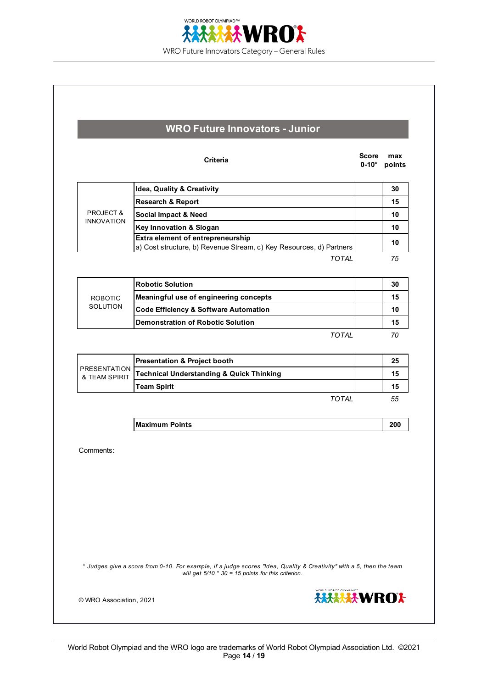

| WRO Future Innovators - Junior |  |
|--------------------------------|--|
|                                |  |

|                      | Criteria                                                                                                 | <b>Score</b><br>$0 - 10*$ | max<br>points |
|----------------------|----------------------------------------------------------------------------------------------------------|---------------------------|---------------|
|                      | <b>Idea, Quality &amp; Creativity</b>                                                                    |                           | 30            |
|                      | <b>Research &amp; Report</b>                                                                             |                           | 15            |
| <b>PROJECT &amp;</b> | <b>Social Impact &amp; Need</b>                                                                          |                           | 10            |
| <b>INNOVATION</b>    | <b>Key Innovation &amp; Slogan</b>                                                                       |                           | 10            |
|                      | Extra element of entrepreneurship<br>a) Cost structure, b) Revenue Stream, c) Key Resources, d) Partners |                           | 10            |
|                      | <b>TOTAL</b>                                                                                             |                           | 75            |
|                      | <b>Robotic Solution</b>                                                                                  |                           | 30            |
| <b>ROBOTIC</b>       | Meaningful use of engineering concepts                                                                   |                           | 15            |
| <b>SOLUTION</b>      | <b>Code Efficiency &amp; Software Automation</b>                                                         |                           | 10            |

|                               | <b>Presentation &amp; Project booth</b>             | 25 |
|-------------------------------|-----------------------------------------------------|----|
| PRESENTATION<br>& TEAM SPIRIT | <b>Technical Understanding &amp; Quick Thinking</b> | 15 |
|                               | <b>Team Spirit</b>                                  | 15 |
|                               | TOTAI                                               | 55 |

**Maximum Points 200**

**Demonstration of Robotic Solution 15 15** 

Comments:

*\* Judges give a score from 0-10. For example, if a judge scores "Idea, Quality & Creativity" with a 5, then the team will get 5/10 \* 30 = 15 points for this criterion.*



*TOTAL 70*

© WRO Association, 2021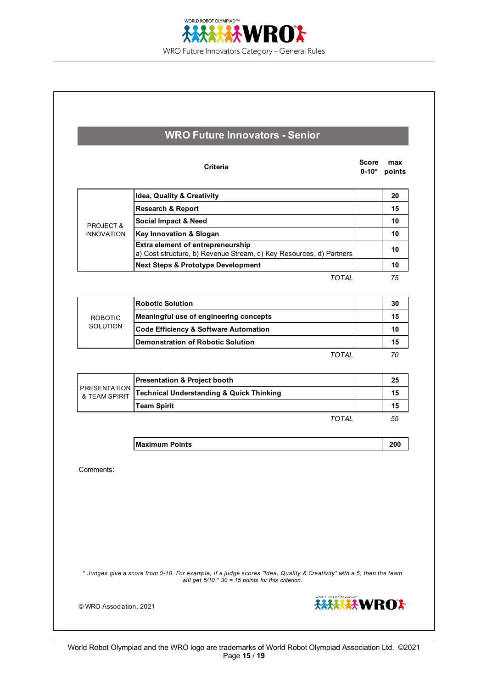

|                                      | Criteria                                                                                                 | Score<br>$0 - 10*$ | max<br>points |
|--------------------------------------|----------------------------------------------------------------------------------------------------------|--------------------|---------------|
|                                      | <b>Idea, Quality &amp; Creativity</b>                                                                    |                    | 20            |
|                                      | <b>Research &amp; Report</b>                                                                             |                    | 15            |
| <b>PROJECT &amp;</b>                 | <b>Social Impact &amp; Need</b>                                                                          |                    | 10            |
| <b>INNOVATION</b>                    | Key Innovation & Slogan                                                                                  |                    | 10            |
|                                      | Extra element of entrepreneurship<br>a) Cost structure, b) Revenue Stream, c) Key Resources, d) Partners |                    | 10            |
|                                      | <b>Next Steps &amp; Prototype Development</b>                                                            |                    | 10            |
|                                      | <b>TOTAL</b>                                                                                             |                    | 75            |
|                                      | <b>Robotic Solution</b>                                                                                  |                    | 30            |
| <b>ROBOTIC</b>                       | Meaningful use of engineering concepts                                                                   |                    | 15            |
| <b>SOLUTION</b>                      | <b>Code Efficiency &amp; Software Automation</b>                                                         |                    | 10            |
|                                      | <b>Demonstration of Robotic Solution</b>                                                                 |                    | 15            |
|                                      | <b>TOTAL</b>                                                                                             |                    | 70            |
|                                      | <b>Presentation &amp; Project booth</b>                                                                  |                    | 25            |
| <b>PRESENTATION</b><br>& TEAM SPIRIT | <b>Technical Understanding &amp; Quick Thinking</b>                                                      |                    | 15            |
|                                      | <b>Team Spirit</b>                                                                                       |                    | 15            |
|                                      | TOTAI                                                                                                    |                    | 55            |
|                                      | <b>Maximum Points</b>                                                                                    |                    | 200           |
| Comments:                            |                                                                                                          |                    |               |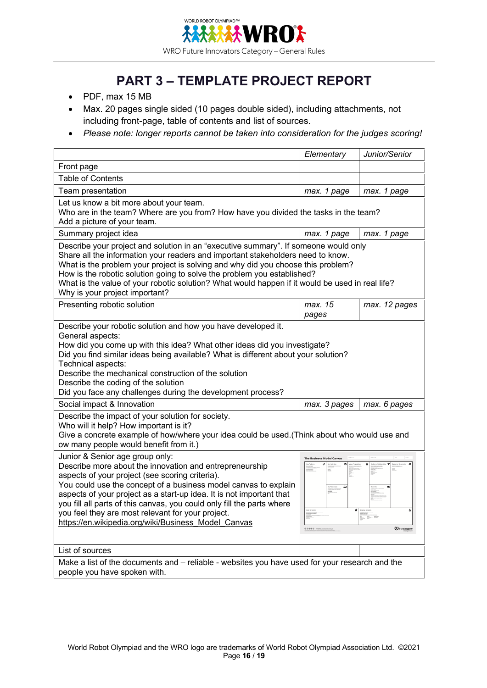

# **PART 3 – TEMPLATE PROJECT REPORT**

- PDF, max 15 MB
- Max. 20 pages single sided (10 pages double sided), including attachments, not including front-page, table of contents and list of sources.
- *Please note: longer reports cannot be taken into consideration for the judges scoring!*

|                                                                                                                                                                                                                                                                                                                                                                                                                                                                                | Elementary                       | Junior/Senior |  |  |
|--------------------------------------------------------------------------------------------------------------------------------------------------------------------------------------------------------------------------------------------------------------------------------------------------------------------------------------------------------------------------------------------------------------------------------------------------------------------------------|----------------------------------|---------------|--|--|
| Front page                                                                                                                                                                                                                                                                                                                                                                                                                                                                     |                                  |               |  |  |
| <b>Table of Contents</b>                                                                                                                                                                                                                                                                                                                                                                                                                                                       |                                  |               |  |  |
| Team presentation                                                                                                                                                                                                                                                                                                                                                                                                                                                              | max. 1 page                      | max. 1 page   |  |  |
| Let us know a bit more about your team.<br>Who are in the team? Where are you from? How have you divided the tasks in the team?<br>Add a picture of your team.                                                                                                                                                                                                                                                                                                                 |                                  |               |  |  |
| Summary project idea                                                                                                                                                                                                                                                                                                                                                                                                                                                           | max. 1 page                      | max. 1 page   |  |  |
| Describe your project and solution in an "executive summary". If someone would only<br>Share all the information your readers and important stakeholders need to know.<br>What is the problem your project is solving and why did you choose this problem?<br>How is the robotic solution going to solve the problem you established?<br>What is the value of your robotic solution? What would happen if it would be used in real life?<br>Why is your project important?     |                                  |               |  |  |
| Presenting robotic solution                                                                                                                                                                                                                                                                                                                                                                                                                                                    | max. 15<br>pages                 | max. 12 pages |  |  |
| Describe your robotic solution and how you have developed it.<br>General aspects:<br>How did you come up with this idea? What other ideas did you investigate?<br>Did you find similar ideas being available? What is different about your solution?<br>Technical aspects:<br>Describe the mechanical construction of the solution<br>Describe the coding of the solution<br>Did you face any challenges during the development process?                                       |                                  |               |  |  |
| Social impact & Innovation                                                                                                                                                                                                                                                                                                                                                                                                                                                     | max. 3 pages                     | max. 6 pages  |  |  |
| Describe the impact of your solution for society.<br>Who will it help? How important is it?<br>Give a concrete example of how/where your idea could be used.(Think about who would use and<br>ow many people would benefit from it.)                                                                                                                                                                                                                                           |                                  |               |  |  |
| Junior & Senior age group only:<br>Describe more about the innovation and entrepreneurship<br>aspects of your project (see scoring criteria).<br>You could use the concept of a business model canvas to explain<br>aspects of your project as a start-up idea. It is not important that<br>you fill all parts of this canvas, you could only fill the parts where<br>you feel they are most relevant for your project.<br>https://en.wikipedia.org/wiki/Business Model Canvas | ه<br>Strategyzer<br>00060   mmnt |               |  |  |
| List of sources                                                                                                                                                                                                                                                                                                                                                                                                                                                                |                                  |               |  |  |
| Make a list of the documents and – reliable - websites you have used for your research and the<br>people you have spoken with.                                                                                                                                                                                                                                                                                                                                                 |                                  |               |  |  |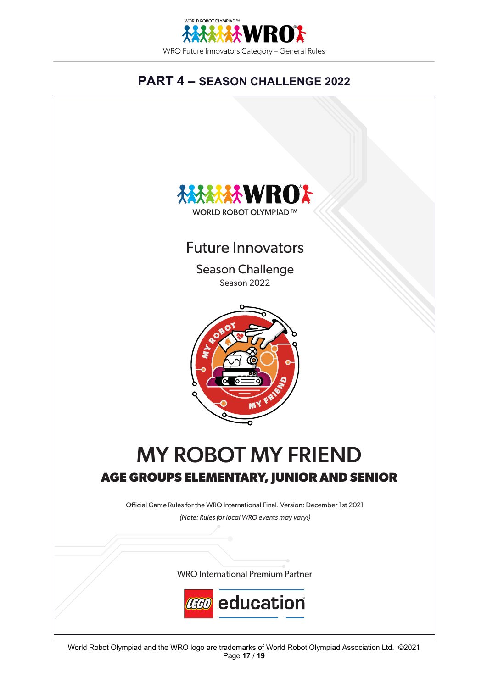

# **PART 4 – SEASON CHALLENGE 2022**

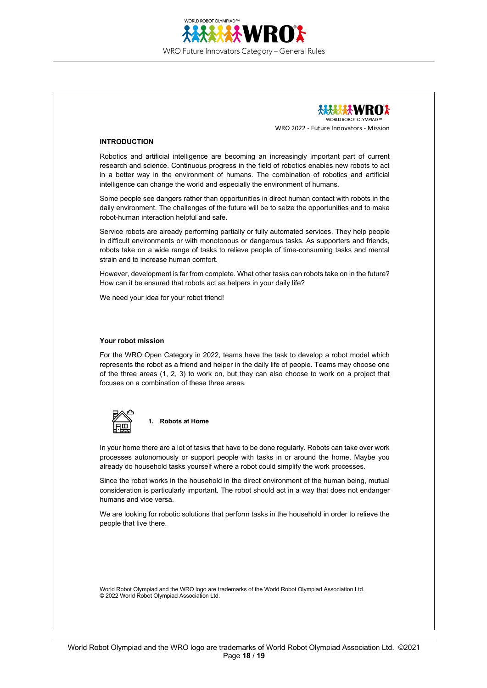



#### **INTRODUCTION**

Robotics and artificial intelligence are becoming an increasingly important part of current research and science. Continuous progress in the field of robotics enables new robots to act in a better way in the environment of humans. The combination of robotics and artificial intelligence can change the world and especially the environment of humans.

Some people see dangers rather than opportunities in direct human contact with robots in the daily environment. The challenges of the future will be to seize the opportunities and to make robot-human interaction helpful and safe.

Service robots are already performing partially or fully automated services. They help people in difficult environments or with monotonous or dangerous tasks. As supporters and friends, robots take on a wide range of tasks to relieve people of time-consuming tasks and mental strain and to increase human comfort.

However, development is far from complete. What other tasks can robots take on in the future? How can it be ensured that robots act as helpers in your daily life?

We need your idea for your robot friend!

#### **Your robot mission**

For the WRO Open Category in 2022, teams have the task to develop a robot model which represents the robot as a friend and helper in the daily life of people. Teams may choose one of the three areas (1, 2, 3) to work on, but they can also choose to work on a project that focuses on a combination of these three areas.



**1. Robots at Home**

In your home there are a lot of tasks that have to be done regularly. Robots can take over work processes autonomously or support people with tasks in or around the home. Maybe you already do household tasks yourself where a robot could simplify the work processes.

Since the robot works in the household in the direct environment of the human being, mutual consideration is particularly important. The robot should act in a way that does not endanger humans and vice versa.

We are looking for robotic solutions that perform tasks in the household in order to relieve the people that live there.

World Robot Olympiad and the WRO logo are trademarks of the World Robot Olympiad Association Ltd. © 2022 World Robot Olympiad Association Ltd.